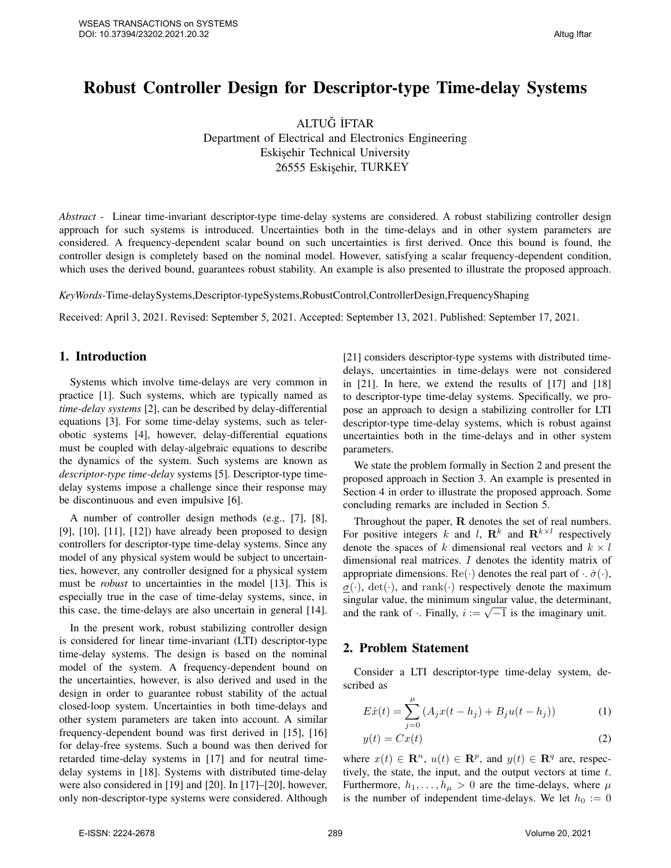# Robust Controller Design for Descriptor-type Time-delay Systems

ALTUG˘ ˙IFTAR Department of Electrical and Electronics Engineering Eskisehir Technical University 26555 Eskişehir, TURKEY

*Abstract -* Linear time-invariant descriptor-type time-delay systems are considered. A robust stabilizing controller design approach for such systems is introduced. Uncertainties both in the time-delays and in other system parameters are considered. A frequency-dependent scalar bound on such uncertainties is first derived. Once this bound is found, the controller design is completely based on the nominal model. However, satisfying a scalar frequency-dependent condition, which uses the derived bound, guarantees robust stability. An example is also presented to illustrate the proposed approach.

*KeyWords-*Time-delaySystems,Descriptor-typeSystems,RobustControl,ControllerDesign,FrequencyShaping

Received: April 3, 2021. Revised: September 5, 2021. Accepted: September 13, 2021. Published: September 17, 2021.

## 1. Introduction

Systems which involve time-delays are very common in practice [1]. Such systems, which are typically named as *time-delay systems* [2], can be described by delay-differential equations [3]. For some time-delay systems, such as telerobotic systems [4], however, delay-differential equations must be coupled with delay-algebraic equations to describe the dynamics of the system. Such systems are known as *descriptor-type time-delay* systems [5]. Descriptor-type timedelay systems impose a challenge since their response may be discontinuous and even impulsive [6].

A number of controller design methods (e.g., [7], [8],  $[9]$ ,  $[10]$ ,  $[11]$ ,  $[12]$ ) have already been proposed to design controllers for descriptor-type time-delay systems. Since any model of any physical system would be subject to uncertainties, however, any controller designed for a physical system must be *robust* to uncertainties in the model [13]. This is especially true in the case of time-delay systems, since, in this case, the time-delays are also uncertain in general [14].

In the present work, robust stabilizing controller design is considered for linear time-invariant (LTI) descriptor-type time-delay systems. The design is based on the nominal model of the system. A frequency-dependent bound on the uncertainties, however, is also derived and used in the design in order to guarantee robust stability of the actual closed-loop system. Uncertainties in both time-delays and other system parameters are taken into account. A similar frequency-dependent bound was first derived in [15], [16] for delay-free systems. Such a bound was then derived for retarded time-delay systems in [17] and for neutral timedelay systems in [18]. Systems with distributed time-delay were also considered in [19] and [20]. In [17]–[20], however, only non-descriptor-type systems were considered. Although [21] considers descriptor-type systems with distributed timedelays, uncertainties in time-delays were not considered in [21]. In here, we extend the results of [17] and [18] to descriptor-type time-delay systems. Specifically, we propose an approach to design a stabilizing controller for LTI descriptor-type time-delay systems, which is robust against uncertainties both in the time-delays and in other system parameters.

We state the problem formally in Section 2 and present the proposed approach in Section 3. An example is presented in Section 4 in order to illustrate the proposed approach. Some concluding remarks are included in Section 5.

Throughout the paper, R denotes the set of real numbers. For positive integers k and l,  $\mathbf{R}^k$  and  $\mathbf{R}^{k \times l}$  respectively denote the spaces of k dimensional real vectors and  $k \times l$ dimensional real matrices. I denotes the identity matrix of appropriate dimensions. Re(·) denotes the real part of  $\cdot$ .  $\bar{\sigma}(\cdot)$ ,  $\sigma(\cdot)$ , det( $\cdot$ ), and rank( $\cdot$ ) respectively denote the maximum singular value, the minimum singular value, the determinant, singular value, the minimum singular value, the determinant and the rank of  $\cdot$ . Finally,  $i := \sqrt{-1}$  is the imaginary unit.

### 2. Problem Statement

Consider a LTI descriptor-type time-delay system, described as

$$
E\dot{x}(t) = \sum_{j=0}^{\mu} (A_j x(t - h_j) + B_j u(t - h_j))
$$
 (1)

$$
y(t) = Cx(t) \tag{2}
$$

where  $x(t) \in \mathbb{R}^n$ ,  $u(t) \in \mathbb{R}^p$ , and  $y(t) \in \mathbb{R}^q$  are, respectively, the state, the input, and the output vectors at time  $t$ . Furthermore,  $h_1, \ldots, h_\mu > 0$  are the time-delays, where  $\mu$ is the number of independent time-delays. We let  $h_0 := 0$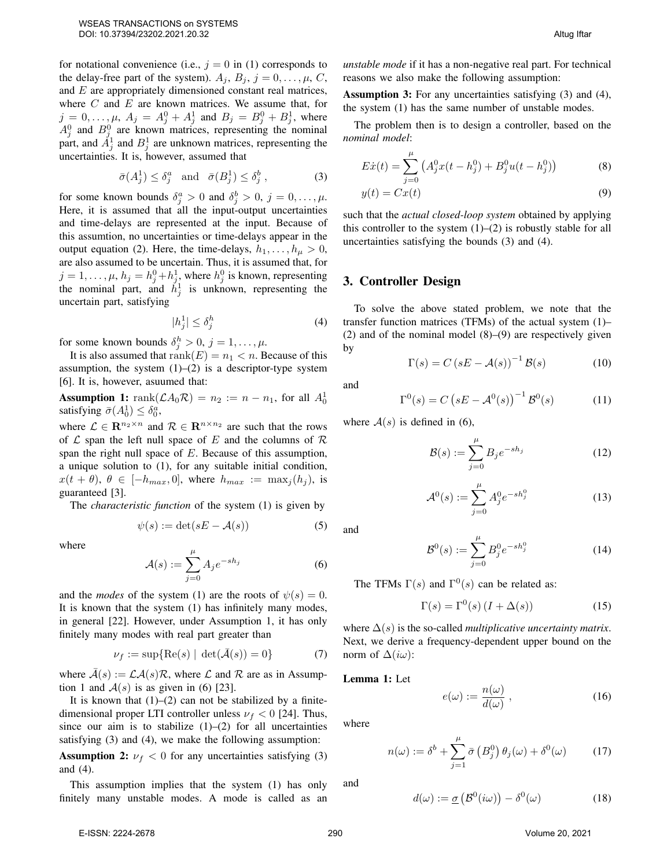for notational convenience (i.e.,  $j = 0$  in (1) corresponds to the delay-free part of the system).  $A_j$ ,  $B_j$ ,  $j = 0, \ldots, \mu, C$ , and E are appropriately dimensioned constant real matrices, where  $C$  and  $E$  are known matrices. We assume that, for  $j = 0, \ldots, \mu$ ,  $A_j = A_j^0 + A_j^1$  and  $B_j = B_j^0 + B_j^1$ , where  $A_j^0$  and  $B_j^0$  are known matrices, representing the nominal part, and  $\tilde{A}^1_j$  and  $B^1_j$  are unknown matrices, representing the uncertainties. It is, however, assumed that

$$
\bar{\sigma}(A_j^1) \le \delta_j^a \quad \text{and} \quad \bar{\sigma}(B_j^1) \le \delta_j^b \,, \tag{3}
$$

for some known bounds  $\delta_j^a > 0$  and  $\delta_j^b > 0$ ,  $j = 0, \dots, \mu$ . Here, it is assumed that all the input-output uncertainties and time-delays are represented at the input. Because of this assumtion, no uncertainties or time-delays appear in the output equation (2). Here, the time-delays,  $h_1, \ldots, h_\mu > 0$ , are also assumed to be uncertain. Thus, it is assumed that, for  $j = 1, \dots, \mu$ ,  $h_j = h_j^0 + h_j^1$ , where  $h_j^0$  is known, representing the nominal part, and  $\hat{h}_j^1$  is unknown, representing the uncertain part, satisfying

$$
|h_j^1| \le \delta_j^h \tag{4}
$$

for some known bounds  $\delta_j^h > 0$ ,  $j = 1, \dots, \mu$ .

It is also assumed that  $rank(E) = n_1 < n$ . Because of this assumption, the system  $(1)$ – $(2)$  is a descriptor-type system [6]. It is, however, asuumed that:

**Assumption 1:** rank $(\mathcal{L}A_0\mathcal{R}) = n_2 := n - n_1$ , for all  $A_0^1$ satisfying  $\bar{\sigma}(A_0^1) \leq \delta_0^a$ ,

where  $\mathcal{L} \in \mathbb{R}^{n_2 \times n}$  and  $\mathcal{R} \in \mathbb{R}^{n \times n_2}$  are such that the rows of  $\mathcal L$  span the left null space of E and the columns of  $\mathcal R$ span the right null space of E. Because of this assumption, a unique solution to (1), for any suitable initial condition,  $x(t + \theta), \theta \in [-h_{max}, 0],$  where  $h_{max} := \max_i (h_i),$  is guaranteed [3].

The *characteristic function* of the system (1) is given by

$$
\psi(s) := \det(sE - \mathcal{A}(s))\tag{5}
$$

where

$$
\mathcal{A}(s) := \sum_{j=0}^{\mu} A_j e^{-sh_j} \tag{6}
$$

and the *modes* of the system (1) are the roots of  $\psi(s) = 0$ . It is known that the system (1) has infinitely many modes, in general [22]. However, under Assumption 1, it has only finitely many modes with real part greater than

$$
\nu_f := \sup\{\text{Re}(s) \mid \det(\bar{\mathcal{A}}(s)) = 0\} \tag{7}
$$

where  $\overline{A}(s) := \mathcal{LA}(s)\mathcal{R}$ , where  $\mathcal L$  and  $\mathcal R$  are as in Assumption 1 and  $A(s)$  is as given in (6) [23].

It is known that  $(1)$ – $(2)$  can not be stabilized by a finitedimensional proper LTI controller unless  $\nu_f < 0$  [24]. Thus, since our aim is to stabilize  $(1)$ – $(2)$  for all uncertainties satisfying (3) and (4), we make the following assumption:

**Assumption 2:**  $\nu_f < 0$  for any uncertainties satisfying (3) and (4).

This assumption implies that the system (1) has only finitely many unstable modes. A mode is called as an *unstable mode* if it has a non-negative real part. For technical reasons we also make the following assumption:

Assumption 3: For any uncertainties satisfying (3) and (4), the system (1) has the same number of unstable modes.

The problem then is to design a controller, based on the *nominal model*:

$$
E\dot{x}(t) = \sum_{j=0}^{\mu} \left( A_j^0 x(t - h_j^0) + B_j^0 u(t - h_j^0) \right)
$$
 (8)

$$
y(t) = Cx(t) \tag{9}
$$

such that the *actual closed-loop system* obtained by applying this controller to the system  $(1)$ – $(2)$  is robustly stable for all uncertainties satisfying the bounds (3) and (4).

#### 3. Controller Design

To solve the above stated problem, we note that the transfer function matrices (TFMs) of the actual system (1)– (2) and of the nominal model (8)–(9) are respectively given by

$$
\Gamma(s) = C \left( sE - \mathcal{A}(s) \right)^{-1} \mathcal{B}(s) \tag{10}
$$

and

$$
\Gamma^{0}(s) = C \left( sE - \mathcal{A}^{0}(s) \right)^{-1} \mathcal{B}^{0}(s) \tag{11}
$$

where  $A(s)$  is defined in (6),

$$
\mathcal{B}(s) := \sum_{j=0}^{\mu} B_j e^{-sh_j} \tag{12}
$$

$$
\mathcal{A}^0(s) := \sum_{j=0}^{\mu} A_j^0 e^{-s h_j^0}
$$
 (13)

and

$$
\mathcal{B}^0(s) := \sum_{j=0}^{\mu} B_j^0 e^{-s h_j^0}
$$
 (14)

The TFMs  $\Gamma(s)$  and  $\Gamma^{0}(s)$  can be related as:

$$
\Gamma(s) = \Gamma^{0}(s) \left( I + \Delta(s) \right) \tag{15}
$$

where  $\Delta(s)$  is the so-called *multiplicative uncertainty matrix*. Next, we derive a frequency-dependent upper bound on the norm of  $\Delta(i\omega)$ :

Lemma 1: Let

$$
e(\omega) := \frac{n(\omega)}{d(\omega)}, \qquad (16)
$$

where

$$
n(\omega) := \delta^b + \sum_{j=1}^{\mu} \bar{\sigma} \left( B_j^0 \right) \theta_j(\omega) + \delta^0(\omega) \tag{17}
$$

and

$$
d(\omega) := \underline{\sigma} \left( \mathcal{B}^0(i\omega) \right) - \delta^0(\omega) \tag{18}
$$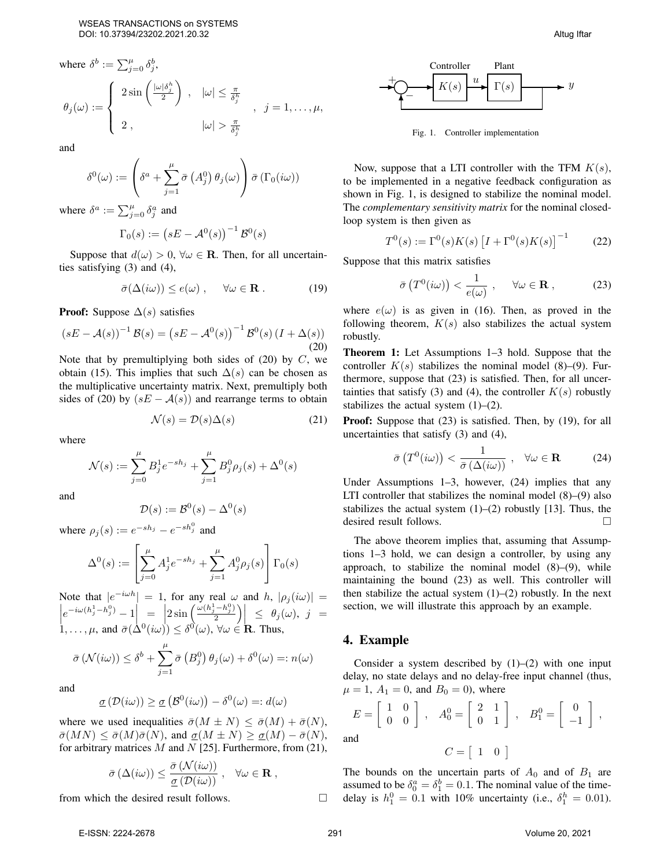where 
$$
\delta^b := \sum_{j=0}^{\mu} \delta_j^b
$$
,  
\n $\theta_j(\omega) := \begin{cases}\n2 \sin\left(\frac{|\omega| \delta_j^b}{2}\right) , & |\omega| \le \frac{\pi}{\delta_j^b} \\
2 , & |\omega| > \frac{\pi}{\delta_j^b}\n\end{cases}$ ,  $j = 1, ..., \mu$ ,

and

$$
\delta^{0}(\omega) := \left(\delta^{a} + \sum_{j=1}^{\mu} \bar{\sigma}\left(A_{j}^{0}\right) \theta_{j}(\omega)\right) \bar{\sigma}\left(\Gamma_{0}(i\omega)\right)
$$

where  $\delta^a := \sum_{j=0}^{\mu} \delta_j^a$  and

$$
\Gamma_0(s) := \left(sE - \mathcal{A}^0(s)\right)^{-1} \mathcal{B}^0(s)
$$

Suppose that  $d(\omega) > 0$ ,  $\forall \omega \in \mathbb{R}$ . Then, for all uncertainties satisfying (3) and (4),

$$
\bar{\sigma}(\Delta(i\omega)) \le e(\omega) , \quad \forall \omega \in \mathbf{R} . \tag{19}
$$

**Proof:** Suppose  $\Delta(s)$  satisfies

$$
(sE - \mathcal{A}(s))^{-1} \mathcal{B}(s) = (sE - \mathcal{A}^0(s))^{-1} \mathcal{B}^0(s) (I + \Delta(s))
$$
\n(20)

Note that by premultiplying both sides of  $(20)$  by C, we obtain (15). This implies that such  $\Delta(s)$  can be chosen as the multiplicative uncertainty matrix. Next, premultiply both sides of (20) by  $(sE - A(s))$  and rearrange terms to obtain

$$
\mathcal{N}(s) = \mathcal{D}(s)\Delta(s) \tag{21}
$$

where

$$
\mathcal{N}(s) := \sum_{j=0}^{\mu} B_j^1 e^{-sh_j} + \sum_{j=1}^{\mu} B_j^0 \rho_j(s) + \Delta^0(s)
$$

and

$$
\mathcal{D}(s) := \mathcal{B}^0(s) - \Delta^0(s)
$$

where  $\rho_j(s) := e^{-s h_j} - e^{-s h_j^0}$  and

$$
\Delta^{0}(s) := \left[\sum_{j=0}^{\mu} A_{j}^{1} e^{-s h_{j}} + \sum_{j=1}^{\mu} A_{j}^{0} \rho_{j}(s)\right] \Gamma_{0}(s)
$$

Note that  $|e^{-i\omega h}$  $\bigg\}$  $| = 1$ , for any real  $\omega$  and h,  $|\rho_j(i\omega)| =$  $\left| e^{-i\omega(h_j^1-h_j^0)} - 1 \right| = \left| 2 \sin \left( \frac{\omega(h_j^1-h_j^0)}{2} \right) \right|$  $\left|e^{-i\omega(h_j^1-h_j^0)}-1\right|_0=\left|2\sin\left(\frac{\omega(h_j^1-h_j^0)}{2}\right)\right|\leq \theta_j(\omega),\ j=1,\ldots,\mu, \text{ and } \bar{\sigma}(\Delta^0(i\omega))\leq \delta^0(\omega),\ \forall\omega\in\mathbf{R}. \text{ Thus,}$  $\bar{\sigma}(\mathcal{N}(i\omega)) \leq \delta^b + \sum$  $\mu$  $j=1$  $\bar{\sigma}$   $\left(B_j^0\right)\theta_j(\omega) + \delta^0(\omega) =: n(\omega)$ 

and

$$
\underline{\sigma}(\mathcal{D}(i\omega)) \ge \underline{\sigma}(\mathcal{B}^0(i\omega)) - \delta^0(\omega) =: d(\omega)
$$

where we used inequalities  $\bar{\sigma}(M \pm N) \leq \bar{\sigma}(M) + \bar{\sigma}(N)$ ,  $\bar{\sigma}(MN) \leq \bar{\sigma}(M)\bar{\sigma}(N)$ , and  $\underline{\sigma}(M \pm N) \geq \underline{\sigma}(M) - \bar{\sigma}(N)$ , for arbitrary matrices  $M$  and  $N$  [25]. Furthermore, from (21),

$$
\bar{\sigma}\left(\Delta(i\omega)\right) \leq \frac{\bar{\sigma}\left(\mathcal{N}(i\omega)\right)}{\underline{\sigma}\left(\mathcal{D}(i\omega)\right)} , \quad \forall \omega \in \mathbf{R} ,
$$

from which the desired result follows.



Fig. 1. Controller implementation

Now, suppose that a LTI controller with the TFM  $K(s)$ , to be implemented in a negative feedback configuration as shown in Fig. 1, is designed to stabilize the nominal model. The *complementary sensitivity matrix* for the nominal closedloop system is then given as

$$
T^{0}(s) := \Gamma^{0}(s)K(s) \left[ I + \Gamma^{0}(s)K(s) \right]^{-1}
$$
 (22)

Suppose that this matrix satisfies

$$
\bar{\sigma}\left(T^0(i\omega)\right) < \frac{1}{e(\omega)}, \quad \forall \omega \in \mathbf{R}, \tag{23}
$$

where  $e(\omega)$  is as given in (16). Then, as proved in the following theorem,  $K(s)$  also stabilizes the actual system robustly.

Theorem 1: Let Assumptions 1–3 hold. Suppose that the controller  $K(s)$  stabilizes the nominal model (8)–(9). Furthermore, suppose that (23) is satisfied. Then, for all uncertainties that satisfy (3) and (4), the controller  $K(s)$  robustly stabilizes the actual system  $(1)$ – $(2)$ .

Proof: Suppose that (23) is satisfied. Then, by (19), for all uncertainties that satisfy (3) and (4),

$$
\bar{\sigma}\left(T^0(i\omega)\right) < \frac{1}{\bar{\sigma}\left(\Delta(i\omega)\right)} \ , \quad \forall \omega \in \mathbf{R} \tag{24}
$$

Under Assumptions 1–3, however, (24) implies that any LTI controller that stabilizes the nominal model (8)–(9) also stabilizes the actual system  $(1)$ – $(2)$  robustly [13]. Thus, the desired result follows.

The above theorem implies that, assuming that Assumptions 1–3 hold, we can design a controller, by using any approach, to stabilize the nominal model (8)–(9), while maintaining the bound (23) as well. This controller will then stabilize the actual system  $(1)$ – $(2)$  robustly. In the next section, we will illustrate this approach by an example.

#### 4. Example

Consider a system described by  $(1)$ – $(2)$  with one input delay, no state delays and no delay-free input channel (thus,  $\mu = 1, A_1 = 0, \text{ and } B_0 = 0$ , where

$$
E = \begin{bmatrix} 1 & 0 \\ 0 & 0 \end{bmatrix}, \quad A_0^0 = \begin{bmatrix} 2 & 1 \\ 0 & 1 \end{bmatrix}, \quad B_1^0 = \begin{bmatrix} 0 \\ -1 \end{bmatrix},
$$
 and 
$$
C = \begin{bmatrix} 1 & 0 \end{bmatrix}
$$

The bounds on the uncertain parts of  $A_0$  and of  $B_1$  are assumed to be  $\delta_0^a = \delta_1^b = 0.1$ . The nominal value of the timedelay is  $h_1^0 = 0.1$  with 10% uncertainty (i.e.,  $\delta_1^h = 0.01$ ).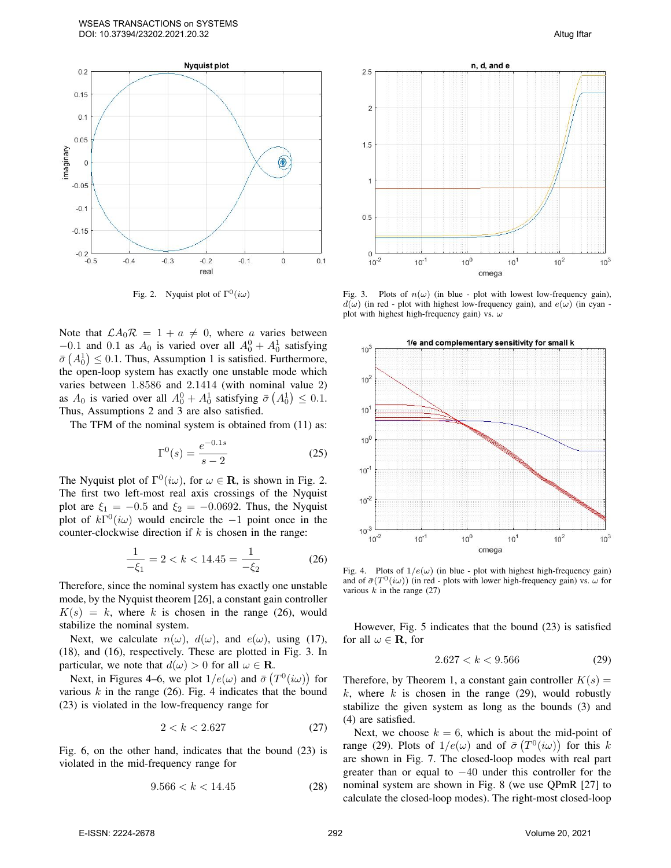

Fig. 2. Nyquist plot of  $\Gamma^0(i\omega)$ 

Note that  $\mathcal{L}A_0\mathcal{R} = 1 + a \neq 0$ , where a varies between  $-0.1$  and 0.1 as  $A_0$  is varied over all  $A_0^0 + A_0^1$  satisfying  $\bar{\sigma}(A_0^1) \leq 0.1$ . Thus, Assumption 1 is satisfied. Furthermore, the open-loop system has exactly one unstable mode which varies between 1.8586 and 2.1414 (with nominal value 2) as  $A_0$  is varied over all  $A_0^0 + A_0^1$  satisfying  $\bar{\sigma}(A_0^1) \leq 0.1$ . Thus, Assumptions 2 and 3 are also satisfied.

The TFM of the nominal system is obtained from (11) as:

$$
\Gamma^{0}(s) = \frac{e^{-0.1s}}{s - 2}
$$
 (25)

The Nyquist plot of  $\Gamma^0(i\omega)$ , for  $\omega \in \mathbf{R}$ , is shown in Fig. 2. The first two left-most real axis crossings of the Nyquist plot are  $\xi_1 = -0.5$  and  $\xi_2 = -0.0692$ . Thus, the Nyquist plot of  $k\Gamma^{0}(i\omega)$  would encircle the -1 point once in the counter-clockwise direction if  $k$  is chosen in the range:

$$
\frac{1}{-\xi_1} = 2 < k < 14.45 = \frac{1}{-\xi_2} \tag{26}
$$

Therefore, since the nominal system has exactly one unstable mode, by the Nyquist theorem [26], a constant gain controller  $K(s) = k$ , where k is chosen in the range (26), would stabilize the nominal system.

Next, we calculate  $n(\omega)$ ,  $d(\omega)$ , and  $e(\omega)$ , using (17), (18), and (16), respectively. These are plotted in Fig. 3. In particular, we note that  $d(\omega) > 0$  for all  $\omega \in \mathbf{R}$ .

Next, in Figures 4–6, we plot  $1/e(\omega)$  and  $\bar{\sigma}(T^0(i\omega))$  for various  $k$  in the range (26). Fig. 4 indicates that the bound (23) is violated in the low-frequency range for

$$
2 < k < 2.627\tag{27}
$$

Fig. 6, on the other hand, indicates that the bound (23) is violated in the mid-frequency range for

$$
9.566 < k < 14.45 \tag{28}
$$



Fig. 3. Plots of  $n(\omega)$  (in blue - plot with lowest low-frequency gain),  $d(\omega)$  (in red - plot with highest low-frequency gain), and  $e(\omega)$  (in cyan plot with highest high-frequency gain) vs.  $\omega$ 



Fig. 4. Plots of  $1/e(\omega)$  (in blue - plot with highest high-frequency gain) and of  $\bar{\sigma}(T^0(i\omega))$  (in red - plots with lower high-frequency gain) vs.  $\omega$  for various  $k$  in the range (27)

However, Fig. 5 indicates that the bound (23) is satisfied for all  $\omega \in \mathbf{R}$ , for

$$
2.627 < k < 9.566 \tag{29}
$$

Therefore, by Theorem 1, a constant gain controller  $K(s)$  = k, where k is chosen in the range  $(29)$ , would robustly stabilize the given system as long as the bounds (3) and (4) are satisfied.

Next, we choose  $k = 6$ , which is about the mid-point of range (29). Plots of  $1/e(\omega)$  and of  $\bar{\sigma}(T^0(i\omega))$  for this k are shown in Fig. 7. The closed-loop modes with real part greater than or equal to −40 under this controller for the nominal system are shown in Fig. 8 (we use QPmR [27] to calculate the closed-loop modes). The right-most closed-loop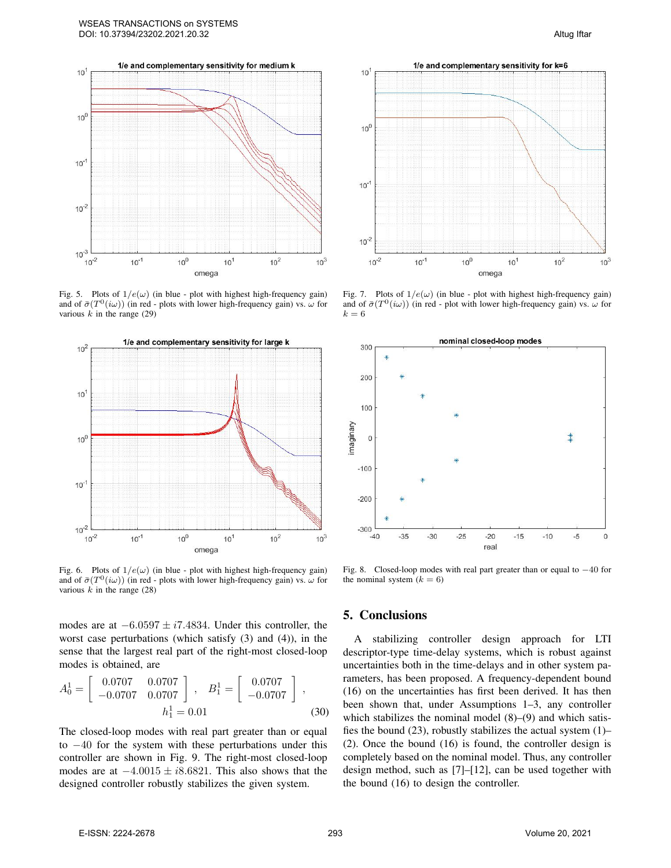

Fig. 5. Plots of  $1/e(\omega)$  (in blue - plot with highest high-frequency gain) and of  $\bar{\sigma}(T^0(i\omega))$  (in red - plots with lower high-frequency gain) vs.  $\omega$  for various  $k$  in the range (29)



Fig. 6. Plots of  $1/e(\omega)$  (in blue - plot with highest high-frequency gain) and of  $\bar{\sigma}(T^0(i\omega))$  (in red - plots with lower high-frequency gain) vs.  $\omega$  for various  $k$  in the range (28)

modes are at  $-6.0597 \pm i7.4834$ . Under this controller, the worst case perturbations (which satisfy (3) and (4)), in the sense that the largest real part of the right-most closed-loop modes is obtained, are

$$
A_0^1 = \begin{bmatrix} 0.0707 & 0.0707 \\ -0.0707 & 0.0707 \end{bmatrix}, \quad B_1^1 = \begin{bmatrix} 0.0707 \\ -0.0707 \end{bmatrix},
$$
  

$$
h_1^1 = 0.01
$$
 (30)

The closed-loop modes with real part greater than or equal to −40 for the system with these perturbations under this controller are shown in Fig. 9. The right-most closed-loop modes are at  $-4.0015 \pm i8.6821$ . This also shows that the designed controller robustly stabilizes the given system.



Fig. 7. Plots of  $1/e(\omega)$  (in blue - plot with highest high-frequency gain) and of  $\bar{\sigma}(T^0(i\omega))$  (in red - plot with lower high-frequency gain) vs.  $\omega$  for  $k=6$ 



Fig. 8. Closed-loop modes with real part greater than or equal to −40 for the nominal system  $(k = 6)$ 

#### 5. Conclusions

A stabilizing controller design approach for LTI descriptor-type time-delay systems, which is robust against uncertainties both in the time-delays and in other system parameters, has been proposed. A frequency-dependent bound (16) on the uncertainties has first been derived. It has then been shown that, under Assumptions 1–3, any controller which stabilizes the nominal model  $(8)$ – $(9)$  and which satisfies the bound  $(23)$ , robustly stabilizes the actual system  $(1)$ – (2). Once the bound (16) is found, the controller design is completely based on the nominal model. Thus, any controller design method, such as [7]–[12], can be used together with the bound (16) to design the controller.